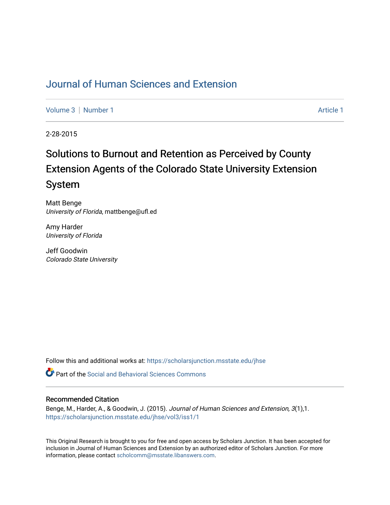## [Journal of Human Sciences and Extension](https://scholarsjunction.msstate.edu/jhse)

[Volume 3](https://scholarsjunction.msstate.edu/jhse/vol3) | [Number 1](https://scholarsjunction.msstate.edu/jhse/vol3/iss1) Article 1

2-28-2015

# Solutions to Burnout and Retention as Perceived by County Extension Agents of the Colorado State University Extension System

Matt Benge University of Florida, mattbenge@ufl.ed

Amy Harder University of Florida

Jeff Goodwin Colorado State University

Follow this and additional works at: [https://scholarsjunction.msstate.edu/jhse](https://scholarsjunction.msstate.edu/jhse?utm_source=scholarsjunction.msstate.edu%2Fjhse%2Fvol3%2Fiss1%2F1&utm_medium=PDF&utm_campaign=PDFCoverPages)

**C** Part of the Social and Behavioral Sciences Commons

#### Recommended Citation

Benge, M., Harder, A., & Goodwin, J. (2015). Journal of Human Sciences and Extension, 3(1),1. [https://scholarsjunction.msstate.edu/jhse/vol3/iss1/1](https://scholarsjunction.msstate.edu/jhse/vol3/iss1/1?utm_source=scholarsjunction.msstate.edu%2Fjhse%2Fvol3%2Fiss1%2F1&utm_medium=PDF&utm_campaign=PDFCoverPages)

This Original Research is brought to you for free and open access by Scholars Junction. It has been accepted for inclusion in Journal of Human Sciences and Extension by an authorized editor of Scholars Junction. For more information, please contact [scholcomm@msstate.libanswers.com](mailto:scholcomm@msstate.libanswers.com).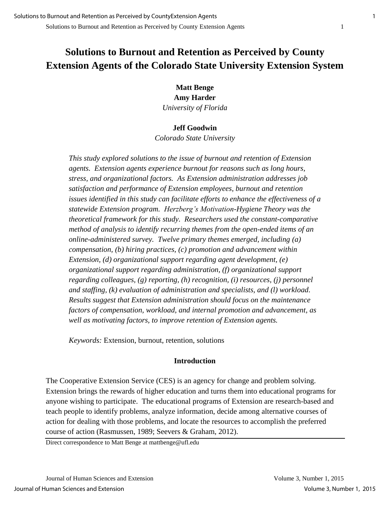## **Solutions to Burnout and Retention as Perceived by County Extension Agents of the Colorado State University Extension System**

**Matt Benge Amy Harder**  *University of Florida* 

#### **Jeff Goodwin**

*Colorado State University* 

*This study explored solutions to the issue of burnout and retention of Extension agents. Extension agents experience burnout for reasons such as long hours, stress, and organizational factors. As Extension administration addresses job satisfaction and performance of Extension employees, burnout and retention issues identified in this study can facilitate efforts to enhance the effectiveness of a statewide Extension program. Herzberg's Motivation-Hygiene Theory was the theoretical framework for this study. Researchers used the constant-comparative method of analysis to identify recurring themes from the open-ended items of an online-administered survey. Twelve primary themes emerged, including (a) compensation, (b) hiring practices, (c) promotion and advancement within Extension, (d) organizational support regarding agent development, (e) organizational support regarding administration, (f) organizational support regarding colleagues, (g) reporting, (h) recognition, (i) resources, (j) personnel and staffing, (k) evaluation of administration and specialists, and (l) workload. Results suggest that Extension administration should focus on the maintenance factors of compensation, workload, and internal promotion and advancement, as well as motivating factors, to improve retention of Extension agents.* 

*Keywords:* Extension, burnout, retention, solutions

#### **Introduction**

The Cooperative Extension Service (CES) is an agency for change and problem solving. Extension brings the rewards of higher education and turns them into educational programs for anyone wishing to participate. The educational programs of Extension are research-based and teach people to identify problems, analyze information, decide among alternative courses of action for dealing with those problems, and locate the resources to accomplish the preferred course of action (Rasmussen, 1989; Seevers & Graham, 2012).

Direct correspondence to Matt Benge at mattbenge@ufl.edu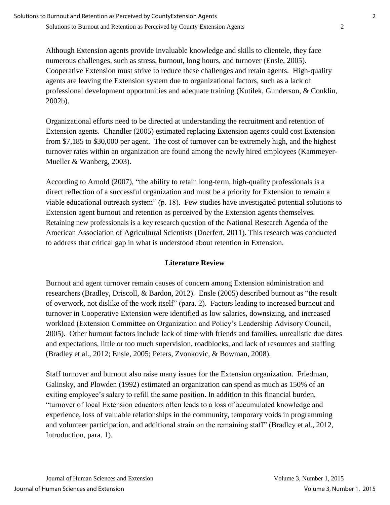Solutions to Burnout and Retention as Perceived by County Extension Agents 2

Although Extension agents provide invaluable knowledge and skills to clientele, they face numerous challenges, such as stress, burnout, long hours, and turnover (Ensle, 2005). Cooperative Extension must strive to reduce these challenges and retain agents. High-quality agents are leaving the Extension system due to organizational factors, such as a lack of professional development opportunities and adequate training (Kutilek, Gunderson, & Conklin, 2002b).

Organizational efforts need to be directed at understanding the recruitment and retention of Extension agents. Chandler (2005) estimated replacing Extension agents could cost Extension from \$7,185 to \$30,000 per agent. The cost of turnover can be extremely high, and the highest turnover rates within an organization are found among the newly hired employees (Kammeyer-Mueller & Wanberg, 2003).

According to Arnold (2007), "the ability to retain long-term, high-quality professionals is a direct reflection of a successful organization and must be a priority for Extension to remain a viable educational outreach system" (p. 18). Few studies have investigated potential solutions to Extension agent burnout and retention as perceived by the Extension agents themselves. Retaining new professionals is a key research question of the National Research Agenda of the American Association of Agricultural Scientists (Doerfert, 2011). This research was conducted to address that critical gap in what is understood about retention in Extension.

## **Literature Review**

Burnout and agent turnover remain causes of concern among Extension administration and researchers (Bradley, Driscoll, & Bardon, 2012). Ensle (2005) described burnout as "the result of overwork, not dislike of the work itself" (para. 2). Factors leading to increased burnout and turnover in Cooperative Extension were identified as low salaries, downsizing, and increased workload (Extension Committee on Organization and Policy's Leadership Advisory Council, 2005). Other burnout factors include lack of time with friends and families, unrealistic due dates and expectations, little or too much supervision, roadblocks, and lack of resources and staffing (Bradley et al., 2012; Ensle, 2005; Peters, Zvonkovic, & Bowman, 2008).

Staff turnover and burnout also raise many issues for the Extension organization. Friedman, Galinsky, and Plowden (1992) estimated an organization can spend as much as 150% of an exiting employee's salary to refill the same position. In addition to this financial burden, "turnover of local Extension educators often leads to a loss of accumulated knowledge and experience, loss of valuable relationships in the community, temporary voids in programming and volunteer participation, and additional strain on the remaining staff" (Bradley et al., 2012, Introduction, para. 1).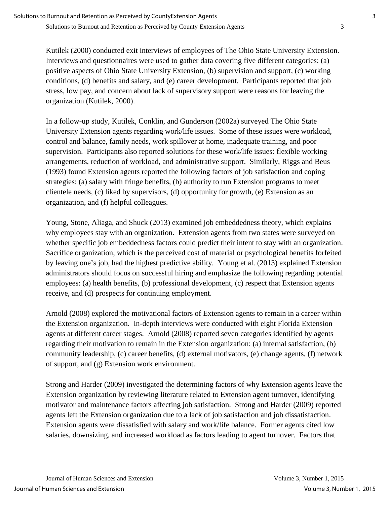Kutilek (2000) conducted exit interviews of employees of The Ohio State University Extension. Interviews and questionnaires were used to gather data covering five different categories: (a) positive aspects of Ohio State University Extension, (b) supervision and support, (c) working conditions, (d) benefits and salary, and (e) career development. Participants reported that job stress, low pay, and concern about lack of supervisory support were reasons for leaving the organization (Kutilek, 2000).

In a follow-up study, Kutilek, Conklin, and Gunderson (2002a) surveyed The Ohio State University Extension agents regarding work/life issues. Some of these issues were workload, control and balance, family needs, work spillover at home, inadequate training, and poor supervision. Participants also reported solutions for these work/life issues: flexible working arrangements, reduction of workload, and administrative support. Similarly, Riggs and Beus (1993) found Extension agents reported the following factors of job satisfaction and coping strategies: (a) salary with fringe benefits, (b) authority to run Extension programs to meet clientele needs, (c) liked by supervisors, (d) opportunity for growth, (e) Extension as an organization, and (f) helpful colleagues.

Young, Stone, Aliaga, and Shuck (2013) examined job embeddedness theory, which explains why employees stay with an organization. Extension agents from two states were surveyed on whether specific job embeddedness factors could predict their intent to stay with an organization. Sacrifice organization, which is the perceived cost of material or psychological benefits forfeited by leaving one's job, had the highest predictive ability. Young et al. (2013) explained Extension administrators should focus on successful hiring and emphasize the following regarding potential employees: (a) health benefits, (b) professional development, (c) respect that Extension agents receive, and (d) prospects for continuing employment.

Arnold (2008) explored the motivational factors of Extension agents to remain in a career within the Extension organization. In-depth interviews were conducted with eight Florida Extension agents at different career stages. Arnold (2008) reported seven categories identified by agents regarding their motivation to remain in the Extension organization: (a) internal satisfaction, (b) community leadership, (c) career benefits, (d) external motivators, (e) change agents, (f) network of support, and (g) Extension work environment.

Strong and Harder (2009) investigated the determining factors of why Extension agents leave the Extension organization by reviewing literature related to Extension agent turnover, identifying motivator and maintenance factors affecting job satisfaction. Strong and Harder (2009) reported agents left the Extension organization due to a lack of job satisfaction and job dissatisfaction. Extension agents were dissatisfied with salary and work/life balance. Former agents cited low salaries, downsizing, and increased workload as factors leading to agent turnover. Factors that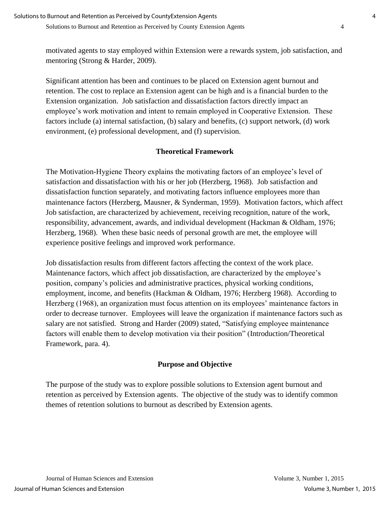Solutions to Burnout and Retention as Perceived by County Extension Agents 4

motivated agents to stay employed within Extension were a rewards system, job satisfaction, and mentoring (Strong & Harder, 2009).

Significant attention has been and continues to be placed on Extension agent burnout and retention. The cost to replace an Extension agent can be high and is a financial burden to the Extension organization. Job satisfaction and dissatisfaction factors directly impact an employee's work motivation and intent to remain employed in Cooperative Extension. These factors include (a) internal satisfaction, (b) salary and benefits, (c) support network, (d) work environment, (e) professional development, and (f) supervision.

## **Theoretical Framework**

The Motivation-Hygiene Theory explains the motivating factors of an employee's level of satisfaction and dissatisfaction with his or her job (Herzberg, 1968). Job satisfaction and dissatisfaction function separately, and motivating factors influence employees more than maintenance factors (Herzberg, Mausner, & Synderman, 1959). Motivation factors, which affect Job satisfaction, are characterized by achievement, receiving recognition, nature of the work, responsibility, advancement, awards, and individual development (Hackman & Oldham, 1976; Herzberg, 1968). When these basic needs of personal growth are met, the employee will experience positive feelings and improved work performance.

Job dissatisfaction results from different factors affecting the context of the work place. Maintenance factors, which affect job dissatisfaction, are characterized by the employee's position, company's policies and administrative practices, physical working conditions, employment, income, and benefits (Hackman & Oldham, 1976; Herzberg 1968). According to Herzberg (1968), an organization must focus attention on its employees' maintenance factors in order to decrease turnover. Employees will leave the organization if maintenance factors such as salary are not satisfied. Strong and Harder (2009) stated, "Satisfying employee maintenance factors will enable them to develop motivation via their position" (Introduction/Theoretical Framework, para. 4).

## **Purpose and Objective**

The purpose of the study was to explore possible solutions to Extension agent burnout and retention as perceived by Extension agents. The objective of the study was to identify common themes of retention solutions to burnout as described by Extension agents.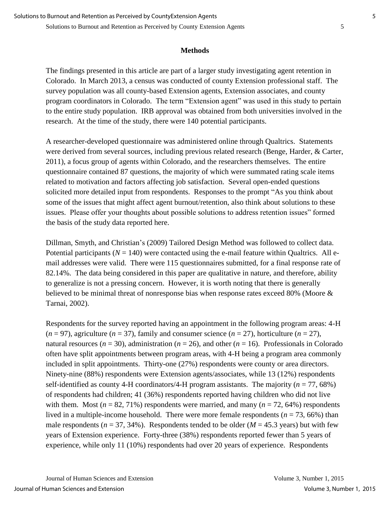#### **Methods**

The findings presented in this article are part of a larger study investigating agent retention in Colorado. In March 2013, a census was conducted of county Extension professional staff. The survey population was all county-based Extension agents, Extension associates, and county program coordinators in Colorado. The term "Extension agent" was used in this study to pertain to the entire study population. IRB approval was obtained from both universities involved in the research. At the time of the study, there were 140 potential participants.

A researcher-developed questionnaire was administered online through Qualtrics. Statements were derived from several sources, including previous related research (Benge, Harder, & Carter, 2011), a focus group of agents within Colorado, and the researchers themselves. The entire questionnaire contained 87 questions, the majority of which were summated rating scale items related to motivation and factors affecting job satisfaction. Several open-ended questions solicited more detailed input from respondents. Responses to the prompt "As you think about some of the issues that might affect agent burnout/retention, also think about solutions to these issues. Please offer your thoughts about possible solutions to address retention issues" formed the basis of the study data reported here.

Dillman, Smyth, and Christian's (2009) Tailored Design Method was followed to collect data. Potential participants  $(N = 140)$  were contacted using the e-mail feature within Qualtrics. All email addresses were valid. There were 115 questionnaires submitted, for a final response rate of 82.14%. The data being considered in this paper are qualitative in nature, and therefore, ability to generalize is not a pressing concern. However, it is worth noting that there is generally believed to be minimal threat of nonresponse bias when response rates exceed 80% (Moore & Tarnai, 2002).

Respondents for the survey reported having an appointment in the following program areas: 4-H  $(n = 97)$ , agriculture  $(n = 37)$ , family and consumer science  $(n = 27)$ , horticulture  $(n = 27)$ , natural resources ( $n = 30$ ), administration ( $n = 26$ ), and other ( $n = 16$ ). Professionals in Colorado often have split appointments between program areas, with 4-H being a program area commonly included in split appointments. Thirty-one (27%) respondents were county or area directors. Ninety-nine (88%) respondents were Extension agents/associates, while 13 (12%) respondents self-identified as county 4-H coordinators/4-H program assistants. The majority  $(n = 77, 68\%)$ of respondents had children; 41 (36%) respondents reported having children who did not live with them. Most  $(n = 82, 71\%)$  respondents were married, and many  $(n = 72, 64\%)$  respondents lived in a multiple-income household. There were more female respondents ( $n = 73,66\%$ ) than male respondents ( $n = 37, 34\%$ ). Respondents tended to be older ( $M = 45.3$  years) but with few years of Extension experience. Forty-three (38%) respondents reported fewer than 5 years of experience, while only 11 (10%) respondents had over 20 years of experience. Respondents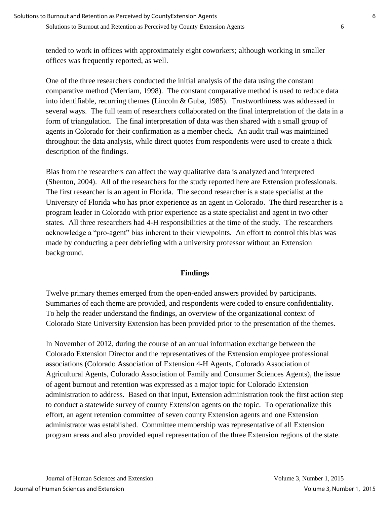tended to work in offices with approximately eight coworkers; although working in smaller offices was frequently reported, as well.

One of the three researchers conducted the initial analysis of the data using the constant comparative method (Merriam, 1998). The constant comparative method is used to reduce data into identifiable, recurring themes (Lincoln & Guba, 1985). Trustworthiness was addressed in several ways. The full team of researchers collaborated on the final interpretation of the data in a form of triangulation. The final interpretation of data was then shared with a small group of agents in Colorado for their confirmation as a member check. An audit trail was maintained throughout the data analysis, while direct quotes from respondents were used to create a thick description of the findings.

Bias from the researchers can affect the way qualitative data is analyzed and interpreted (Shenton, 2004). All of the researchers for the study reported here are Extension professionals. The first researcher is an agent in Florida. The second researcher is a state specialist at the University of Florida who has prior experience as an agent in Colorado. The third researcher is a program leader in Colorado with prior experience as a state specialist and agent in two other states. All three researchers had 4-H responsibilities at the time of the study. The researchers acknowledge a "pro-agent" bias inherent to their viewpoints. An effort to control this bias was made by conducting a peer debriefing with a university professor without an Extension background.

#### **Findings**

Twelve primary themes emerged from the open-ended answers provided by participants. Summaries of each theme are provided, and respondents were coded to ensure confidentiality. To help the reader understand the findings, an overview of the organizational context of Colorado State University Extension has been provided prior to the presentation of the themes.

In November of 2012, during the course of an annual information exchange between the Colorado Extension Director and the representatives of the Extension employee professional associations (Colorado Association of Extension 4-H Agents, Colorado Association of Agricultural Agents, Colorado Association of Family and Consumer Sciences Agents), the issue of agent burnout and retention was expressed as a major topic for Colorado Extension administration to address. Based on that input, Extension administration took the first action step to conduct a statewide survey of county Extension agents on the topic. To operationalize this effort, an agent retention committee of seven county Extension agents and one Extension administrator was established. Committee membership was representative of all Extension program areas and also provided equal representation of the three Extension regions of the state.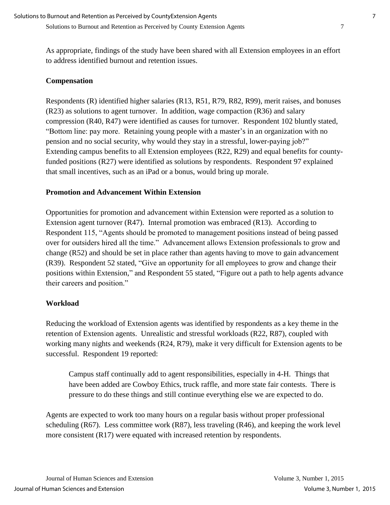#### Solutions to Burnout and Retention as Perceived by County Extension Agents 7

As appropriate, findings of the study have been shared with all Extension employees in an effort to address identified burnout and retention issues.

#### **Compensation**

Respondents (R) identified higher salaries (R13, R51, R79, R82, R99), merit raises, and bonuses (R23) as solutions to agent turnover. In addition, wage compaction (R36) and salary compression (R40, R47) were identified as causes for turnover. Respondent 102 bluntly stated, "Bottom line: pay more. Retaining young people with a master's in an organization with no pension and no social security, why would they stay in a stressful, lower-paying job?" Extending campus benefits to all Extension employees (R22, R29) and equal benefits for countyfunded positions (R27) were identified as solutions by respondents. Respondent 97 explained that small incentives, such as an iPad or a bonus, would bring up morale.

#### **Promotion and Advancement Within Extension**

Opportunities for promotion and advancement within Extension were reported as a solution to Extension agent turnover (R47). Internal promotion was embraced (R13). According to Respondent 115, "Agents should be promoted to management positions instead of being passed over for outsiders hired all the time." Advancement allows Extension professionals to grow and change (R52) and should be set in place rather than agents having to move to gain advancement (R39). Respondent 52 stated, "Give an opportunity for all employees to grow and change their positions within Extension," and Respondent 55 stated, "Figure out a path to help agents advance their careers and position."

#### **Workload**

Reducing the workload of Extension agents was identified by respondents as a key theme in the retention of Extension agents. Unrealistic and stressful workloads (R22, R87), coupled with working many nights and weekends (R24, R79), make it very difficult for Extension agents to be successful. Respondent 19 reported:

 Campus staff continually add to agent responsibilities, especially in 4-H. Things that have been added are Cowboy Ethics, truck raffle, and more state fair contests. There is pressure to do these things and still continue everything else we are expected to do.

Agents are expected to work too many hours on a regular basis without proper professional scheduling (R67). Less committee work (R87), less traveling (R46), and keeping the work level more consistent (R17) were equated with increased retention by respondents.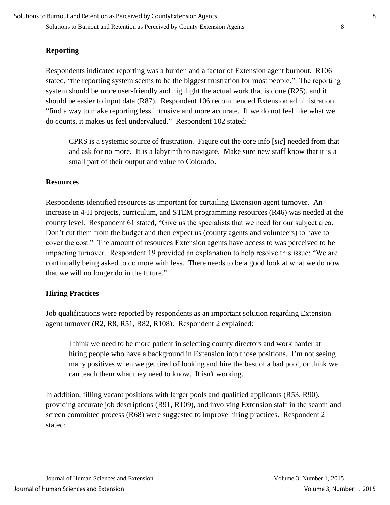#### **Reporting**

Respondents indicated reporting was a burden and a factor of Extension agent burnout. R106 stated, "the reporting system seems to be the biggest frustration for most people." The reporting system should be more user-friendly and highlight the actual work that is done (R25), and it should be easier to input data (R87). Respondent 106 recommended Extension administration "find a way to make reporting less intrusive and more accurate. If we do not feel like what we do counts, it makes us feel undervalued." Respondent 102 stated:

CPRS is a systemic source of frustration. Figure out the core info [*sic*] needed from that and ask for no more. It is a labyrinth to navigate. Make sure new staff know that it is a small part of their output and value to Colorado.

#### **Resources**

Respondents identified resources as important for curtailing Extension agent turnover. An increase in 4-H projects, curriculum, and STEM programming resources (R46) was needed at the county level. Respondent 61 stated, "Give us the specialists that we need for our subject area. Don't cut them from the budget and then expect us (county agents and volunteers) to have to cover the cost." The amount of resources Extension agents have access to was perceived to be impacting turnover. Respondent 19 provided an explanation to help resolve this issue: "We are continually being asked to do more with less. There needs to be a good look at what we do now that we will no longer do in the future."

#### **Hiring Practices**

Job qualifications were reported by respondents as an important solution regarding Extension agent turnover (R2, R8, R51, R82, R108). Respondent 2 explained:

 I think we need to be more patient in selecting county directors and work harder at hiring people who have a background in Extension into those positions. I'm not seeing many positives when we get tired of looking and hire the best of a bad pool, or think we can teach them what they need to know. It isn't working.

In addition, filling vacant positions with larger pools and qualified applicants (R53, R90), providing accurate job descriptions (R91, R109), and involving Extension staff in the search and screen committee process (R68) were suggested to improve hiring practices. Respondent 2 stated: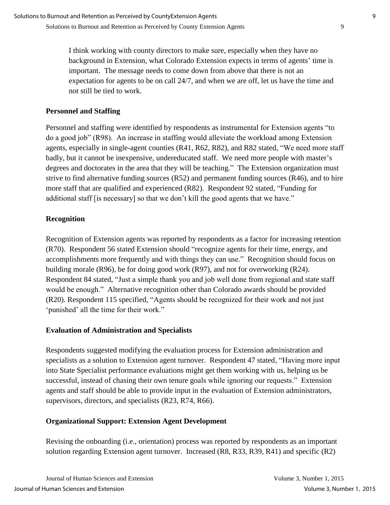I think working with county directors to make sure, especially when they have no background in Extension, what Colorado Extension expects in terms of agents' time is important. The message needs to come down from above that there is not an expectation for agents to be on call 24/7, and when we are off, let us have the time and not still be tied to work.

#### **Personnel and Staffing**

Personnel and staffing were identified by respondents as instrumental for Extension agents "to do a good job" (R98). An increase in staffing would alleviate the workload among Extension agents, especially in single-agent counties (R41, R62, R82), and R82 stated, "We need more staff badly, but it cannot be inexpensive, undereducated staff. We need more people with master's degrees and doctorates in the area that they will be teaching." The Extension organization must strive to find alternative funding sources (R52) and permanent funding sources (R46), and to hire more staff that are qualified and experienced (R82). Respondent 92 stated, "Funding for additional staff [is necessary] so that we don't kill the good agents that we have."

### **Recognition**

Recognition of Extension agents was reported by respondents as a factor for increasing retention (R70). Respondent 56 stated Extension should "recognize agents for their time, energy, and accomplishments more frequently and with things they can use." Recognition should focus on building morale (R96), be for doing good work (R97), and not for overworking (R24). Respondent 84 stated, "Just a simple thank you and job well done from regional and state staff would be enough." Alternative recognition other than Colorado awards should be provided (R20). Respondent 115 specified, "Agents should be recognized for their work and not just 'punished' all the time for their work."

#### **Evaluation of Administration and Specialists**

Respondents suggested modifying the evaluation process for Extension administration and specialists as a solution to Extension agent turnover. Respondent 47 stated, "Having more input into State Specialist performance evaluations might get them working with us, helping us be successful, instead of chasing their own tenure goals while ignoring our requests." Extension agents and staff should be able to provide input in the evaluation of Extension administrators, supervisors, directors, and specialists (R23, R74, R66).

#### **Organizational Support: Extension Agent Development**

Revising the onboarding (i.e., orientation) process was reported by respondents as an important solution regarding Extension agent turnover. Increased (R8, R33, R39, R41) and specific (R2)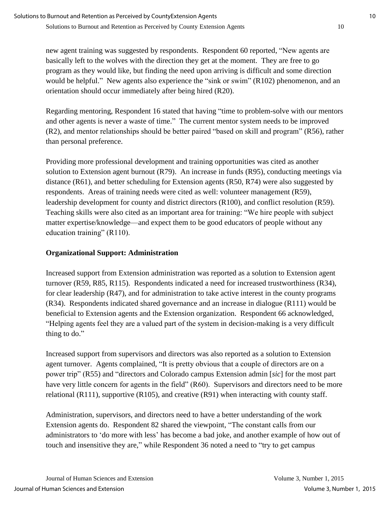new agent training was suggested by respondents. Respondent 60 reported, "New agents are basically left to the wolves with the direction they get at the moment. They are free to go program as they would like, but finding the need upon arriving is difficult and some direction would be helpful." New agents also experience the "sink or swim" (R102) phenomenon, and an orientation should occur immediately after being hired (R20).

Regarding mentoring, Respondent 16 stated that having "time to problem-solve with our mentors and other agents is never a waste of time." The current mentor system needs to be improved (R2), and mentor relationships should be better paired "based on skill and program" (R56), rather than personal preference.

Providing more professional development and training opportunities was cited as another solution to Extension agent burnout (R79). An increase in funds (R95), conducting meetings via distance (R61), and better scheduling for Extension agents (R50, R74) were also suggested by respondents. Areas of training needs were cited as well: volunteer management (R59), leadership development for county and district directors (R100), and conflict resolution (R59). Teaching skills were also cited as an important area for training: "We hire people with subject matter expertise/knowledge—and expect them to be good educators of people without any education training" (R110).

## **Organizational Support: Administration**

Increased support from Extension administration was reported as a solution to Extension agent turnover (R59, R85, R115). Respondents indicated a need for increased trustworthiness (R34), for clear leadership (R47), and for administration to take active interest in the county programs (R34). Respondents indicated shared governance and an increase in dialogue (R111) would be beneficial to Extension agents and the Extension organization. Respondent 66 acknowledged, "Helping agents feel they are a valued part of the system in decision-making is a very difficult thing to do."

Increased support from supervisors and directors was also reported as a solution to Extension agent turnover. Agents complained, "It is pretty obvious that a couple of directors are on a power trip" (R55) and "directors and Colorado campus Extension admin [*sic*] for the most part have very little concern for agents in the field" (R60). Supervisors and directors need to be more relational (R111), supportive (R105), and creative (R91) when interacting with county staff.

Administration, supervisors, and directors need to have a better understanding of the work Extension agents do. Respondent 82 shared the viewpoint, "The constant calls from our administrators to 'do more with less' has become a bad joke, and another example of how out of touch and insensitive they are," while Respondent 36 noted a need to "try to get campus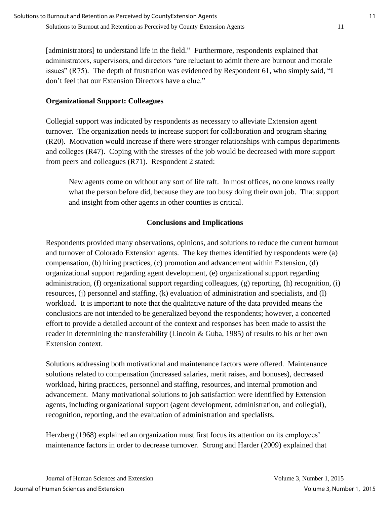[administrators] to understand life in the field." Furthermore, respondents explained that administrators, supervisors, and directors "are reluctant to admit there are burnout and morale issues" (R75). The depth of frustration was evidenced by Respondent 61, who simply said, "I don't feel that our Extension Directors have a clue."

#### **Organizational Support: Colleagues**

Collegial support was indicated by respondents as necessary to alleviate Extension agent turnover. The organization needs to increase support for collaboration and program sharing (R20). Motivation would increase if there were stronger relationships with campus departments and colleges (R47). Coping with the stresses of the job would be decreased with more support from peers and colleagues (R71). Respondent 2 stated:

New agents come on without any sort of life raft. In most offices, no one knows really what the person before did, because they are too busy doing their own job. That support and insight from other agents in other counties is critical.

### **Conclusions and Implications**

Respondents provided many observations, opinions, and solutions to reduce the current burnout and turnover of Colorado Extension agents. The key themes identified by respondents were (a) compensation, (b) hiring practices, (c) promotion and advancement within Extension, (d) organizational support regarding agent development, (e) organizational support regarding administration, (f) organizational support regarding colleagues, (g) reporting, (h) recognition, (i) resources, (j) personnel and staffing, (k) evaluation of administration and specialists, and (l) workload. It is important to note that the qualitative nature of the data provided means the conclusions are not intended to be generalized beyond the respondents; however, a concerted effort to provide a detailed account of the context and responses has been made to assist the reader in determining the transferability (Lincoln & Guba, 1985) of results to his or her own Extension context.

Solutions addressing both motivational and maintenance factors were offered. Maintenance solutions related to compensation (increased salaries, merit raises, and bonuses), decreased workload, hiring practices, personnel and staffing, resources, and internal promotion and advancement. Many motivational solutions to job satisfaction were identified by Extension agents, including organizational support (agent development, administration, and collegial), recognition, reporting, and the evaluation of administration and specialists.

Herzberg (1968) explained an organization must first focus its attention on its employees' maintenance factors in order to decrease turnover. Strong and Harder (2009) explained that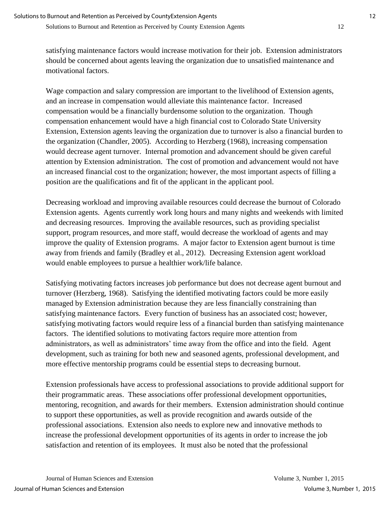satisfying maintenance factors would increase motivation for their job. Extension administrators should be concerned about agents leaving the organization due to unsatisfied maintenance and motivational factors.

Wage compaction and salary compression are important to the livelihood of Extension agents, and an increase in compensation would alleviate this maintenance factor. Increased compensation would be a financially burdensome solution to the organization. Though compensation enhancement would have a high financial cost to Colorado State University Extension, Extension agents leaving the organization due to turnover is also a financial burden to the organization (Chandler, 2005). According to Herzberg (1968), increasing compensation would decrease agent turnover. Internal promotion and advancement should be given careful attention by Extension administration. The cost of promotion and advancement would not have an increased financial cost to the organization; however, the most important aspects of filling a position are the qualifications and fit of the applicant in the applicant pool.

Decreasing workload and improving available resources could decrease the burnout of Colorado Extension agents. Agents currently work long hours and many nights and weekends with limited and decreasing resources. Improving the available resources, such as providing specialist support, program resources, and more staff, would decrease the workload of agents and may improve the quality of Extension programs. A major factor to Extension agent burnout is time away from friends and family (Bradley et al., 2012). Decreasing Extension agent workload would enable employees to pursue a healthier work/life balance.

Satisfying motivating factors increases job performance but does not decrease agent burnout and turnover (Herzberg, 1968). Satisfying the identified motivating factors could be more easily managed by Extension administration because they are less financially constraining than satisfying maintenance factors. Every function of business has an associated cost; however, satisfying motivating factors would require less of a financial burden than satisfying maintenance factors. The identified solutions to motivating factors require more attention from administrators, as well as administrators' time away from the office and into the field. Agent development, such as training for both new and seasoned agents, professional development, and more effective mentorship programs could be essential steps to decreasing burnout.

Extension professionals have access to professional associations to provide additional support for their programmatic areas. These associations offer professional development opportunities, mentoring, recognition, and awards for their members. Extension administration should continue to support these opportunities, as well as provide recognition and awards outside of the professional associations. Extension also needs to explore new and innovative methods to increase the professional development opportunities of its agents in order to increase the job satisfaction and retention of its employees. It must also be noted that the professional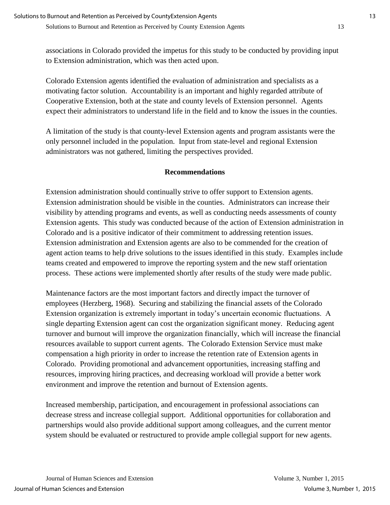associations in Colorado provided the impetus for this study to be conducted by providing input to Extension administration, which was then acted upon.

Colorado Extension agents identified the evaluation of administration and specialists as a motivating factor solution. Accountability is an important and highly regarded attribute of Cooperative Extension, both at the state and county levels of Extension personnel. Agents expect their administrators to understand life in the field and to know the issues in the counties.

A limitation of the study is that county-level Extension agents and program assistants were the only personnel included in the population. Input from state-level and regional Extension administrators was not gathered, limiting the perspectives provided.

#### **Recommendations**

Extension administration should continually strive to offer support to Extension agents. Extension administration should be visible in the counties. Administrators can increase their visibility by attending programs and events, as well as conducting needs assessments of county Extension agents. This study was conducted because of the action of Extension administration in Colorado and is a positive indicator of their commitment to addressing retention issues. Extension administration and Extension agents are also to be commended for the creation of agent action teams to help drive solutions to the issues identified in this study. Examples include teams created and empowered to improve the reporting system and the new staff orientation process. These actions were implemented shortly after results of the study were made public.

Maintenance factors are the most important factors and directly impact the turnover of employees (Herzberg, 1968). Securing and stabilizing the financial assets of the Colorado Extension organization is extremely important in today's uncertain economic fluctuations. A single departing Extension agent can cost the organization significant money. Reducing agent turnover and burnout will improve the organization financially, which will increase the financial resources available to support current agents. The Colorado Extension Service must make compensation a high priority in order to increase the retention rate of Extension agents in Colorado. Providing promotional and advancement opportunities, increasing staffing and resources, improving hiring practices, and decreasing workload will provide a better work environment and improve the retention and burnout of Extension agents.

Increased membership, participation, and encouragement in professional associations can decrease stress and increase collegial support. Additional opportunities for collaboration and partnerships would also provide additional support among colleagues, and the current mentor system should be evaluated or restructured to provide ample collegial support for new agents.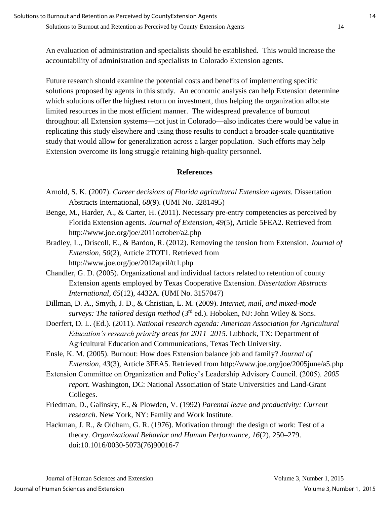An evaluation of administration and specialists should be established. This would increase the accountability of administration and specialists to Colorado Extension agents.

Future research should examine the potential costs and benefits of implementing specific solutions proposed by agents in this study. An economic analysis can help Extension determine which solutions offer the highest return on investment, thus helping the organization allocate limited resources in the most efficient manner. The widespread prevalence of burnout throughout all Extension systems—not just in Colorado—also indicates there would be value in replicating this study elsewhere and using those results to conduct a broader-scale quantitative study that would allow for generalization across a larger population. Such efforts may help Extension overcome its long struggle retaining high-quality personnel.

#### **References**

- Arnold, S. K. (2007). *Career decisions of Florida agricultural Extension agents.* Dissertation Abstracts International, *68*(9). (UMI No. 3281495)
- Benge, M., Harder, A., & Carter, H. (2011). Necessary pre-entry competencies as perceived by Florida Extension agents. *Journal of Extension, 49*(5), Article 5FEA2. Retrieved from http://www.joe.org/joe/2011october/a2.php
- Bradley, L., Driscoll, E., & Bardon, R. (2012). Removing the tension from Extension. *Journal of Extension, 50*(2), Article 2TOT1. Retrieved from http://www.joe.org/joe/2012april/tt1.php
- Chandler, G. D. (2005). Organizational and individual factors related to retention of county Extension agents employed by Texas Cooperative Extension. *Dissertation Abstracts International, 65*(12), 4432A. (UMI No. 3157047)
- Dillman, D. A., Smyth, J. D., & Christian, L. M. (2009). *Internet, mail, and mixed-mode surveys: The tailored design method* (3rd ed.). Hoboken, NJ: John Wiley & Sons.
- Doerfert, D. L. (Ed.). (2011). *National research agenda: American Association for Agricultural Education's research priority areas for 2011*–*2015*. Lubbock, TX: Department of Agricultural Education and Communications, Texas Tech University.
- Ensle, K. M. (2005). Burnout: How does Extension balance job and family? *Journal of Extension*, *43*(3), Article 3FEA5. Retrieved from http://www.joe.org/joe/2005june/a5.php
- Extension Committee on Organization and Policy's Leadership Advisory Council. (2005). *2005 report*. Washington, DC: National Association of State Universities and Land-Grant Colleges.
- Friedman, D., Galinsky, E., & Plowden, V. (1992) *Parental leave and productivity: Current research*. New York, NY: Family and Work Institute.
- Hackman, J. R., & Oldham, G. R. (1976). Motivation through the design of work: Test of a theory. *Organizational Behavior and Human Performance, 16*(2), 250–279. doi:10.1016/0030-5073(76)90016-7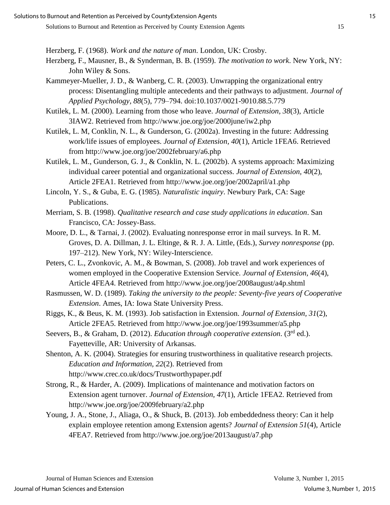Herzberg, F. (1968). *Work and the nature of man*. London, UK: Crosby.

- Herzberg, F., Mausner, B., & Synderman, B. B. (1959). *The motivation to work*. New York, NY: John Wiley & Sons.
- Kammeyer-Mueller, J. D., & Wanberg, C. R. (2003). Unwrapping the organizational entry process: Disentangling multiple antecedents and their pathways to adjustment. *Journal of Applied Psychology, 88*(5), 779–794. doi:10.1037/0021-9010.88.5.779

Kutilek, L. M. (2000). Learning from those who leave. *Journal of Extension, 38*(3), Article 3IAW2. Retrieved from http://www.joe.org/joe/2000june/iw2.php

- Kutilek, L. M, Conklin, N. L., & Gunderson, G. (2002a). Investing in the future: Addressing work/life issues of employees. *Journal of Extension, 40*(1), Article 1FEA6. Retrieved from http://www.joe.org/joe/2002february/a6.php
- Kutilek, L. M., Gunderson, G. J., & Conklin, N. L. (2002b). A systems approach: Maximizing individual career potential and organizational success. *Journal of Extension, 40*(2), Article 2FEA1. Retrieved from http://www.joe.org/joe/2002april/a1.php
- Lincoln, Y. S., & Guba, E. G. (1985). *Naturalistic inquiry*. Newbury Park, CA: Sage Publications.
- Merriam, S. B. (1998). *Qualitative research and case study applications in education*. San Francisco, CA: Jossey-Bass.
- Moore, D. L., & Tarnai, J. (2002). Evaluating nonresponse error in mail surveys. In R. M. Groves, D. A. Dillman, J. L. Eltinge, & R. J. A. Little, (Eds.), *Survey nonresponse* (pp. 197–212). New York, NY: Wiley-Interscience.
- Peters, C. L., Zvonkovic, A. M., & Bowman, S. (2008). Job travel and work experiences of women employed in the Cooperative Extension Service. *Journal of Extension, 46*(4), Article 4FEA4. Retrieved from http://www.joe.org/joe/2008august/a4p.shtml
- Rasmussen, W. D. (1989). *Taking the university to the people: Seventy-five years of Cooperative Extension*. Ames, IA: Iowa State University Press.
- Riggs, K., & Beus, K. M. (1993). Job satisfaction in Extension. *Journal of Extension, 31*(2), Article 2FEA5. Retrieved from http://www.joe.org/joe/1993summer/a5.php
- Seevers, B., & Graham, D. (2012). *Education through cooperative extension*. (3<sup>rd</sup> ed.). Fayetteville, AR: University of Arkansas.
- Shenton, A. K. (2004). Strategies for ensuring trustworthiness in qualitative research projects. *Education and Information, 22*(2). Retrieved from http://www.crec.co.uk/docs/Trustworthypaper.pdf
- Strong, R., & Harder, A. (2009). Implications of maintenance and motivation factors on Extension agent turnover. *Journal of Extension, 47*(1), Article 1FEA2. Retrieved from http://www.joe.org/joe/2009february/a2.php
- Young, J. A., Stone, J., Aliaga, O., & Shuck, B. (2013). Job embeddedness theory: Can it help explain employee retention among Extension agents? *Journal of Extension 51*(4), Article 4FEA7. Retrieved from http://www.joe.org/joe/2013august/a7.php